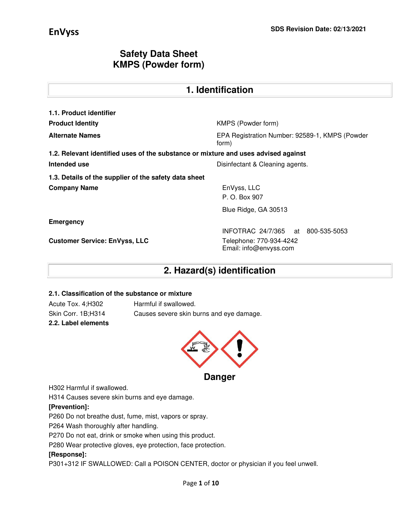| 1. Identification                                                                  |                                                         |  |  |  |
|------------------------------------------------------------------------------------|---------------------------------------------------------|--|--|--|
| 1.1. Product identifier                                                            |                                                         |  |  |  |
| <b>Product Identity</b>                                                            | KMPS (Powder form)                                      |  |  |  |
| <b>Alternate Names</b>                                                             | EPA Registration Number: 92589-1, KMPS (Powder<br>form) |  |  |  |
| 1.2. Relevant identified uses of the substance or mixture and uses advised against |                                                         |  |  |  |
| Intended use                                                                       | Disinfectant & Cleaning agents.                         |  |  |  |
| 1.3. Details of the supplier of the safety data sheet                              |                                                         |  |  |  |
| <b>Company Name</b>                                                                | EnVyss, LLC<br>P. O. Box 907                            |  |  |  |
|                                                                                    | Blue Ridge, GA 30513                                    |  |  |  |
| <b>Emergency</b>                                                                   |                                                         |  |  |  |
|                                                                                    | INFOTRAC 24/7/365 at 800-535-5053                       |  |  |  |
| <b>Customer Service: EnVyss, LLC</b>                                               | Telephone: 770-934-4242<br>Email: info@envyss.com       |  |  |  |

## **2. Hazard(s) identification**

#### **2.1. Classification of the substance or mixture**

Acute Tox. 4;H302 Harmful if swallowed. **2.2. Label elements** 

Skin Corr. 1B;H314 Causes severe skin burns and eye damage.



H302 Harmful if swallowed.

H314 Causes severe skin burns and eye damage.

### **[Prevention]:**

P260 Do not breathe dust, fume, mist, vapors or spray.

P264 Wash thoroughly after handling.

P270 Do not eat, drink or smoke when using this product.

P280 Wear protective gloves, eye protection, face protection.

### **[Response]:**

P301+312 IF SWALLOWED: Call a POISON CENTER, doctor or physician if you feel unwell.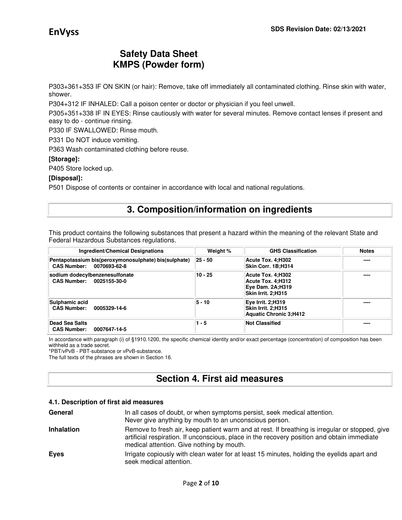P303+361+353 IF ON SKIN (or hair): Remove, take off immediately all contaminated clothing. Rinse skin with water, shower.

P304+312 IF INHALED: Call a poison center or doctor or physician if you feel unwell.

P305+351+338 IF IN EYES: Rinse cautiously with water for several minutes. Remove contact lenses if present and easy to do - continue rinsing.

P330 IF SWALLOWED: Rinse mouth.

P331 Do NOT induce vomiting.

P363 Wash contaminated clothing before reuse.

#### **[Storage]:**

P405 Store locked up.

#### **[Disposal]:**

P501 Dispose of contents or container in accordance with local and national regulations.

### **3. Composition/information on ingredients**

This product contains the following substances that present a hazard within the meaning of the relevant State and Federal Hazardous Substances regulations.

| <b>Ingredient/Chemical Designations</b>                                          | Weight %      | <b>GHS Classification</b>                                                        | <b>Notes</b> |
|----------------------------------------------------------------------------------|---------------|----------------------------------------------------------------------------------|--------------|
| Pentapotassium bis(peroxymonosulphate) bis(sulphate)<br>CAS Number: 0070693-62-8 | $ 25 - 50 $   | Acute Tox. 4;H302<br>Skin Corr. 1B;H314                                          | ----         |
| sodium dodecylbenzenesulfonate<br>CAS Number: 0025155-30-0                       | $10 - 25$     | Acute Tox. 4:H302<br>Acute Tox. 4:H312<br>Eye Dam. 2A;H319<br>Skin Irrit. 2:H315 | ----         |
| Sulphamic acid<br><b>CAS Number:</b><br>0005329-14-6                             | <b>5 - 10</b> | <b>Eye Irrit. 2;H319</b><br>Skin Irrit. 2:H315<br><b>Aquatic Chronic 3:H412</b>  | ----         |
| Dead Sea Salts<br><b>CAS Number:</b><br>0007647-14-5                             | $1 - 5$       | <b>Not Classified</b>                                                            | ----         |

In accordance with paragraph (i) of §1910.1200, the specific chemical identity and/or exact percentage (concentration) of composition has been withheld as a trade secret.

\*PBT/vPvB - PBT-substance or vPvB-substance.

The full texts of the phrases are shown in Section 16.

# **Section 4. First aid measures**

#### **4.1. Description of first aid measures**

| General           | In all cases of doubt, or when symptoms persist, seek medical attention.<br>Never give anything by mouth to an unconscious person.                                                                                                         |
|-------------------|--------------------------------------------------------------------------------------------------------------------------------------------------------------------------------------------------------------------------------------------|
| <b>Inhalation</b> | Remove to fresh air, keep patient warm and at rest. If breathing is irregular or stopped, give<br>artificial respiration. If unconscious, place in the recovery position and obtain immediate<br>medical attention. Give nothing by mouth. |
| <b>Eyes</b>       | Irrigate copiously with clean water for at least 15 minutes, holding the eyelids apart and<br>seek medical attention.                                                                                                                      |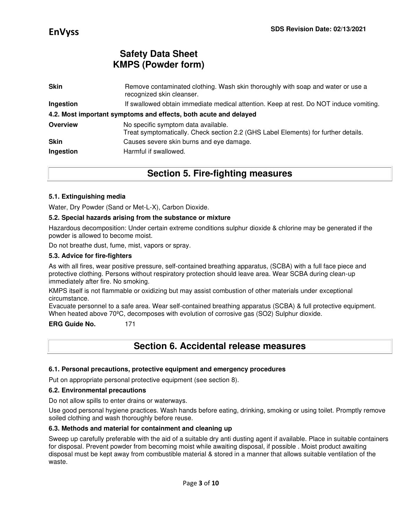| <b>Skin</b>              | Remove contaminated clothing. Wash skin thoroughly with soap and water or use a<br>recognized skin cleanser.              |
|--------------------------|---------------------------------------------------------------------------------------------------------------------------|
| Ingestion                | If swallowed obtain immediate medical attention. Keep at rest. Do NOT induce vomiting.                                    |
|                          | 4.2. Most important symptoms and effects, both acute and delayed                                                          |
| <b>Overview</b>          | No specific symptom data available.<br>Treat symptomatically. Check section 2.2 (GHS Label Elements) for further details. |
| <b>Skin</b><br>Ingestion | Causes severe skin burns and eye damage.<br>Harmful if swallowed.                                                         |

### **Section 5. Fire-fighting measures**

#### **5.1. Extinguishing media**

Water, Dry Powder (Sand or Met-L-X), Carbon Dioxide.

#### **5.2. Special hazards arising from the substance or mixture**

Hazardous decomposition: Under certain extreme conditions sulphur dioxide & chlorine may be generated if the powder is allowed to become moist.

Do not breathe dust, fume, mist, vapors or spray.

#### **5.3. Advice for fire-fighters**

As with all fires, wear positive pressure, self-contained breathing apparatus, (SCBA) with a full face piece and protective clothing. Persons without respiratory protection should leave area. Wear SCBA during clean-up immediately after fire. No smoking.

KMPS itself is not flammable or oxidizing but may assist combustion of other materials under exceptional circumstance.

Evacuate personnel to a safe area. Wear self-contained breathing apparatus (SCBA) & full protective equipment. When heated above 70ºC, decomposes with evolution of corrosive gas (SO2) Sulphur dioxide.

#### **ERG Guide No.** 171

### **Section 6. Accidental release measures**

#### **6.1. Personal precautions, protective equipment and emergency procedures**

Put on appropriate personal protective equipment (see section 8).

#### **6.2. Environmental precautions**

Do not allow spills to enter drains or waterways.

Use good personal hygiene practices. Wash hands before eating, drinking, smoking or using toilet. Promptly remove soiled clothing and wash thoroughly before reuse.

#### **6.3. Methods and material for containment and cleaning up**

Sweep up carefully preferable with the aid of a suitable dry anti dusting agent if available. Place in suitable containers for disposal. Prevent powder from becoming moist while awaiting disposal, if possible . Moist product awaiting disposal must be kept away from combustible material & stored in a manner that allows suitable ventilation of the waste.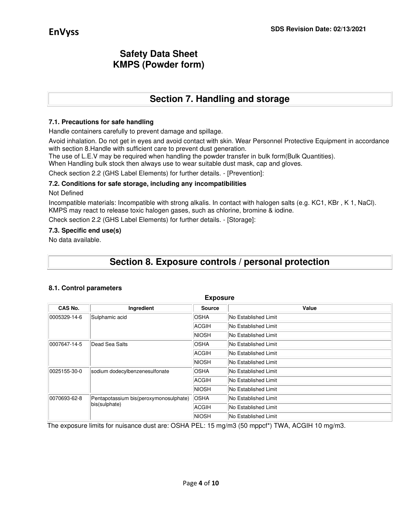# **Section 7. Handling and storage**

#### **7.1. Precautions for safe handling**

Handle containers carefully to prevent damage and spillage.

Avoid inhalation. Do not get in eyes and avoid contact with skin. Wear Personnel Protective Equipment in accordance with section 8.Handle with sufficient care to prevent dust generation.

The use of L.E.V may be required when handling the powder transfer in bulk form(Bulk Quantities).

When Handling bulk stock then always use to wear suitable dust mask, cap and gloves.

Check section 2.2 (GHS Label Elements) for further details. - [Prevention]:

#### **7.2. Conditions for safe storage, including any incompatibilities**

#### Not Defined

Incompatible materials: Incompatible with strong alkalis. In contact with halogen salts (e.g. KC1, KBr , K 1, NaCl). KMPS may react to release toxic halogen gases, such as chlorine, bromine & iodine.

Check section 2.2 (GHS Label Elements) for further details. - [Storage]:

#### **7.3. Specific end use(s)**

No data available.

## **Section 8. Exposure controls / personal protection**

#### **8.1. Control parameters**

| <b>Exposure</b>                                |                                                         |               |                             |  |  |
|------------------------------------------------|---------------------------------------------------------|---------------|-----------------------------|--|--|
| CAS No.                                        | Ingredient                                              | <b>Source</b> | Value                       |  |  |
| 0005329-14-6                                   | Sulphamic acid                                          | <b>OSHA</b>   | No Established Limit        |  |  |
|                                                |                                                         | ACGIH         | No Established Limit        |  |  |
|                                                |                                                         | <b>NIOSH</b>  | No Established Limit        |  |  |
| 0007647-14-5                                   | Dead Sea Salts                                          | <b>OSHA</b>   | No Established Limit        |  |  |
|                                                |                                                         | ACGIH         | No Established Limit        |  |  |
|                                                |                                                         | <b>NIOSH</b>  | No Established Limit        |  |  |
| 0025155-30-0<br>sodium dodecylbenzenesulfonate |                                                         | <b>OSHA</b>   | No Established Limit        |  |  |
|                                                |                                                         | ACGIH         | No Established Limit        |  |  |
|                                                |                                                         | <b>NIOSH</b>  | No Established Limit        |  |  |
| 0070693-62-8                                   | Pentapotassium bis(peroxymonosulphate)<br>bis(sulphate) | <b>OSHA</b>   | No Established Limit        |  |  |
|                                                |                                                         | ACGIH         | <b>No Established Limit</b> |  |  |
|                                                |                                                         | <b>NIOSH</b>  | No Established Limit        |  |  |

The exposure limits for nuisance dust are: OSHA PEL: 15 mg/m3 (50 mppcf\*) TWA, ACGIH 10 mg/m3.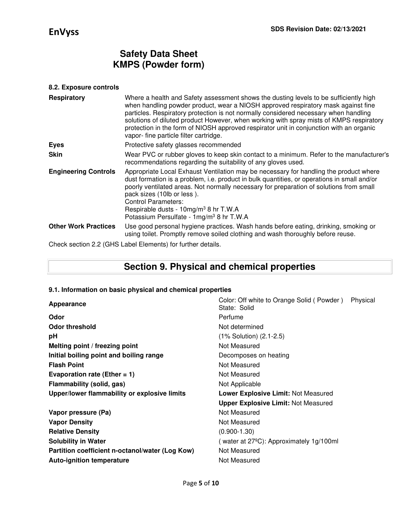### **8.2. Exposure controls**

| <b>Respiratory</b>          | Where a health and Safety assessment shows the dusting levels to be sufficiently high<br>when handling powder product, wear a NIOSH approved respiratory mask against fine<br>particles. Respiratory protection is not normally considered necessary when handling<br>solutions of diluted product However, when working with spray mists of KMPS respiratory<br>protection in the form of NIOSH approved respirator unit in conjunction with an organic<br>vapor- fine particle filter cartridge. |
|-----------------------------|----------------------------------------------------------------------------------------------------------------------------------------------------------------------------------------------------------------------------------------------------------------------------------------------------------------------------------------------------------------------------------------------------------------------------------------------------------------------------------------------------|
| <b>Eyes</b>                 | Protective safety glasses recommended                                                                                                                                                                                                                                                                                                                                                                                                                                                              |
| <b>Skin</b>                 | Wear PVC or rubber gloves to keep skin contact to a minimum. Refer to the manufacturer's<br>recommendations regarding the suitability of any gloves used.                                                                                                                                                                                                                                                                                                                                          |
| <b>Engineering Controls</b> | Appropriate Local Exhaust Ventilation may be necessary for handling the product where<br>dust formation is a problem, i.e. product in bulk quantities, or operations in small and/or<br>poorly ventilated areas. Not normally necessary for preparation of solutions from small<br>pack sizes (10lb or less).<br><b>Control Parameters:</b><br>Respirable dusts - 10mg/m <sup>3</sup> 8 hr T.W.A<br>Potassium Persulfate - 1mg/m <sup>3</sup> 8 hr T.W.A                                           |
| <b>Other Work Practices</b> | Use good personal hygiene practices. Wash hands before eating, drinking, smoking or<br>using toilet. Promptly remove soiled clothing and wash thoroughly before reuse.                                                                                                                                                                                                                                                                                                                             |
|                             | $\Omega$ is a contract the set of the set of the set of the set of the set of the set of the set of the set of the set of the set of the set of the set of the set of the set of the set of the set of the set of the set of the                                                                                                                                                                                                                                                                   |

Check section 2.2 (GHS Label Elements) for further details.

## **Section 9. Physical and chemical properties**

#### **9.1. Information on basic physical and chemical properties**

| Appearance                                                                                 | Color: Off white to Orange Solid (Powder)<br>Physical<br>State: Solid |  |  |
|--------------------------------------------------------------------------------------------|-----------------------------------------------------------------------|--|--|
| Odor                                                                                       | Perfume                                                               |  |  |
| Odor threshold                                                                             | Not determined                                                        |  |  |
| рH                                                                                         | (1% Solution) (2.1-2.5)                                               |  |  |
| Melting point / freezing point                                                             | Not Measured                                                          |  |  |
| Initial boiling point and boiling range                                                    | Decomposes on heating                                                 |  |  |
| <b>Flash Point</b>                                                                         | Not Measured                                                          |  |  |
| Evaporation rate (Ether = $1$ )                                                            | Not Measured                                                          |  |  |
| Flammability (solid, gas)                                                                  | Not Applicable                                                        |  |  |
| Upper/lower flammability or explosive limits<br><b>Lower Explosive Limit: Not Measured</b> |                                                                       |  |  |
|                                                                                            | <b>Upper Explosive Limit: Not Measured</b>                            |  |  |
| Vapor pressure (Pa)                                                                        | Not Measured                                                          |  |  |
| <b>Vapor Density</b>                                                                       | Not Measured                                                          |  |  |
| <b>Relative Density</b>                                                                    | $(0.900 - 1.30)$                                                      |  |  |
| <b>Solubility in Water</b>                                                                 | (water at $27^{\circ}$ C): Approximately 1g/100ml                     |  |  |
| Partition coefficient n-octanol/water (Log Kow)                                            | Not Measured                                                          |  |  |
| <b>Auto-ignition temperature</b>                                                           | Not Measured                                                          |  |  |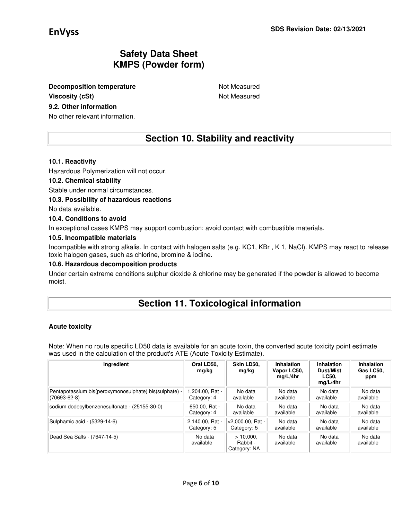**Decomposition temperature Not Measured Not Measured** 

### **Viscosity (cSt) Not Measured Not Measured**

### **9.2. Other information**

No other relevant information.

## **Section 10. Stability and reactivity**

#### **10.1. Reactivity**

Hazardous Polymerization will not occur.

#### **10.2. Chemical stability**

Stable under normal circumstances.

#### **10.3. Possibility of hazardous reactions**

No data available.

#### **10.4. Conditions to avoid**

In exceptional cases KMPS may support combustion: avoid contact with combustible materials.

#### **10.5. Incompatible materials**

Incompatible with strong alkalis. In contact with halogen salts (e.g. KC1, KBr , K 1, NaCl). KMPS may react to release toxic halogen gases, such as chlorine, bromine & iodine.

#### **10.6. Hazardous decomposition products**

Under certain extreme conditions sulphur dioxide & chlorine may be generated if the powder is allowed to become moist.

## **Section 11. Toxicological information**

#### **Acute toxicity**

Note: When no route specific LD50 data is available for an acute toxin, the converted acute toxicity point estimate was used in the calculation of the product's ATE (Acute Toxicity Estimate).

| Ingredient                                             | Oral LD50.<br>mg/kg  | Skin LD50.<br>mg/kg                     | Inhalation<br>Vapor LC50,<br>mq/L/4hr | Inhalation<br>Dust/Mist<br><b>LC50.</b><br>mq/L/4hr | Inhalation<br>Gas LC50,<br>ppm |
|--------------------------------------------------------|----------------------|-----------------------------------------|---------------------------------------|-----------------------------------------------------|--------------------------------|
| Pentapotassium bis(peroxymonosulphate) bis(sulphate) - | - 204.00. Rat.       | No data                                 | No data                               | No data                                             | No data                        |
| $(70693 - 62 - 8)$                                     | Category: 4          | available                               | available                             | available                                           | available                      |
| sodium dodecylbenzenesulfonate - (25155-30-0)          | 650.00, Rat -        | No data                                 | No data                               | No data                                             | No data                        |
|                                                        | Category: 4          | available                               | available                             | available                                           | available                      |
| Sulphamic acid - (5329-14-6)                           | 2,140.00, Rat -      | >2.000.00. Rat -                        | No data                               | No data                                             | No data                        |
|                                                        | Category: 5          | Category: 5                             | available                             | available                                           | available                      |
| Dead Sea Salts - (7647-14-5)                           | No data<br>available | $>10.000$ .<br>Rabbit -<br>Category: NA | No data<br>available                  | No data<br>available                                | No data<br>available           |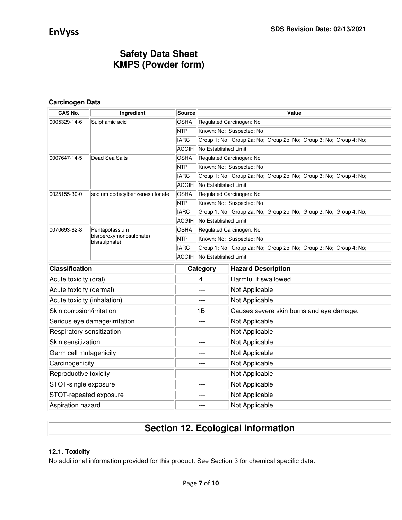### **Carcinogen Data**

| CAS No.                     | Ingredient                                | Source       |                          | Value                                                              |  |  |  |
|-----------------------------|-------------------------------------------|--------------|--------------------------|--------------------------------------------------------------------|--|--|--|
| 0005329-14-6                | Sulphamic acid                            | <b>OSHA</b>  | Regulated Carcinogen: No |                                                                    |  |  |  |
|                             |                                           | <b>NTP</b>   |                          | Known: No; Suspected: No                                           |  |  |  |
|                             |                                           | <b>IARC</b>  |                          | Group 1: No; Group 2a: No; Group 2b: No; Group 3: No; Group 4: No; |  |  |  |
|                             |                                           | <b>ACGIH</b> | No Established Limit     |                                                                    |  |  |  |
| 0007647-14-5                | Dead Sea Salts                            | <b>OSHA</b>  |                          | Regulated Carcinogen: No                                           |  |  |  |
|                             |                                           | <b>NTP</b>   | Known: No; Suspected: No |                                                                    |  |  |  |
|                             |                                           | <b>IARC</b>  |                          | Group 1: No; Group 2a: No; Group 2b: No; Group 3: No; Group 4: No; |  |  |  |
|                             |                                           | ACGIH        | No Established Limit     |                                                                    |  |  |  |
| 0025155-30-0                | sodium dodecylbenzenesulfonate            | OSHA         |                          | Regulated Carcinogen: No                                           |  |  |  |
|                             |                                           | <b>NTP</b>   |                          | Known: No; Suspected: No                                           |  |  |  |
|                             |                                           | <b>IARC</b>  |                          | Group 1: No; Group 2a: No; Group 2b: No; Group 3: No; Group 4: No; |  |  |  |
|                             |                                           | <b>ACGIH</b> | No Established Limit     |                                                                    |  |  |  |
| 0070693-62-8                | Pentapotassium<br>bis(peroxymonosulphate) | <b>OSHA</b>  |                          | Regulated Carcinogen: No                                           |  |  |  |
|                             | bis(sulphate)                             | <b>NTP</b>   |                          | Known: No; Suspected: No                                           |  |  |  |
|                             |                                           | <b>IARC</b>  |                          | Group 1: No; Group 2a: No; Group 2b: No; Group 3: No; Group 4: No; |  |  |  |
|                             |                                           | ACGIH        | No Established Limit     |                                                                    |  |  |  |
| <b>Classification</b>       |                                           |              | Category                 | <b>Hazard Description</b>                                          |  |  |  |
| Acute toxicity (oral)       |                                           |              | 4                        | Harmful if swallowed.                                              |  |  |  |
| Acute toxicity (dermal)     |                                           | $---$        |                          | Not Applicable                                                     |  |  |  |
| Acute toxicity (inhalation) |                                           |              | $---$                    | Not Applicable                                                     |  |  |  |
| Skin corrosion/irritation   |                                           |              | 1B                       | Causes severe skin burns and eye damage.                           |  |  |  |
|                             | Serious eye damage/irritation             |              | $---$                    | Not Applicable                                                     |  |  |  |
| Respiratory sensitization   |                                           | $---$        |                          | Not Applicable                                                     |  |  |  |
| Skin sensitization          |                                           | $---$        |                          | Not Applicable                                                     |  |  |  |
| Germ cell mutagenicity      |                                           | $---$        |                          | Not Applicable                                                     |  |  |  |
| Carcinogenicity             |                                           | $---$        |                          | Not Applicable                                                     |  |  |  |
| Reproductive toxicity       |                                           | $---$        |                          | Not Applicable                                                     |  |  |  |
| STOT-single exposure        |                                           | $---$        |                          | Not Applicable                                                     |  |  |  |
| STOT-repeated exposure      |                                           |              | $---$                    | Not Applicable                                                     |  |  |  |
| Aspiration hazard           |                                           |              | Not Applicable           |                                                                    |  |  |  |

# **Section 12. Ecological information**

### **12.1. Toxicity**

No additional information provided for this product. See Section 3 for chemical specific data.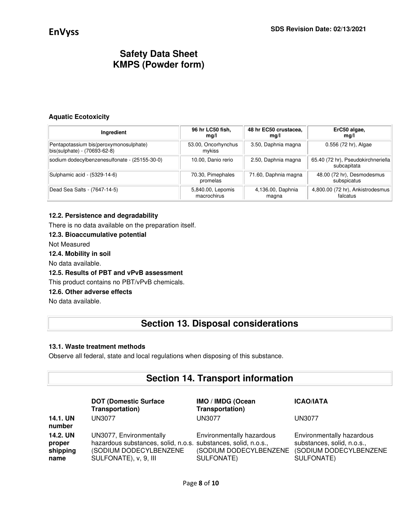#### **Aquatic Ecotoxicity**

| Ingredient                                                             | 96 hr LC50 fish,<br>mg/l         | 48 hr EC50 crustacea,<br>mq/l | ErC50 algae,<br>mg/l                              |
|------------------------------------------------------------------------|----------------------------------|-------------------------------|---------------------------------------------------|
| Pentapotassium bis(peroxymonosulphate)<br>bis(sulphate) - (70693-62-8) | 53.00, Oncorhynchus<br>mykiss    | 3.50, Daphnia magna           | 0.556 (72 hr), Algae                              |
| sodium dodecylbenzenesulfonate - (25155-30-0)                          | 10.00, Danio rerio               | 2.50, Daphnia magna           | 65.40 (72 hr), Pseudokirchneriella<br>subcapitata |
| Sulphamic acid - (5329-14-6)                                           | 70.30, Pimephales<br>promelas    | 71.60, Daphnia magna          | 48.00 (72 hr), Desmodesmus<br>subspicatus         |
| Dead Sea Salts - (7647-14-5)                                           | 5,840.00, Lepomis<br>macrochirus | 4,136.00, Daphnia<br>magna    | 4,800.00 (72 hr), Ankistrodesmus<br>falcatus      |

#### **12.2. Persistence and degradability**

There is no data available on the preparation itself.

### **12.3. Bioaccumulative potential**

Not Measured

#### **12.4. Mobility in soil**

No data available.

### **12.5. Results of PBT and vPvB assessment**

This product contains no PBT/vPvB chemicals.

#### **12.6. Other adverse effects**

No data available.

### **Section 13. Disposal considerations**

#### **13.1. Waste treatment methods**

Observe all federal, state and local regulations when disposing of this substance.

## **Section 14. Transport information**

|                                        | <b>DOT (Domestic Surface)</b><br>Transportation)                                                                                             | IMO / IMDG (Ocean<br>Transportation)                              | <b>ICAO/IATA</b>                                                                                |
|----------------------------------------|----------------------------------------------------------------------------------------------------------------------------------------------|-------------------------------------------------------------------|-------------------------------------------------------------------------------------------------|
| 14.1. UN<br>number                     | <b>UN3077</b>                                                                                                                                | UN3077                                                            | UN3077                                                                                          |
| 14.2. UN<br>proper<br>shipping<br>name | UN3077, Environmentally<br>hazardous substances, solid, n.o.s. substances, solid, n.o.s.,<br>(SODIUM DODECYLBENZENE<br>SULFONATE), v, 9, III | Environmentally hazardous<br>(SODIUM DODECYLBENZENE<br>SULFONATE) | Environmentally hazardous<br>substances, solid, n.o.s.,<br>(SODIUM DODECYLBENZENE<br>SULFONATE) |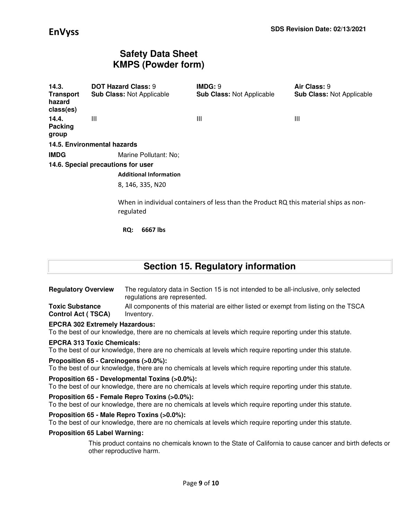| 14.3.<br>Transport<br>hazard<br>class(es) | <b>DOT Hazard Class: 9</b><br><b>Sub Class: Not Applicable</b> | IMDG: 9<br><b>Sub Class: Not Applicable</b>                                           | Air Class: 9<br><b>Sub Class: Not Applicable</b> |
|-------------------------------------------|----------------------------------------------------------------|---------------------------------------------------------------------------------------|--------------------------------------------------|
| 14.4.<br>Packing<br>group                 | Ш                                                              | Ш                                                                                     | Ш                                                |
|                                           | 14.5. Environmental hazards                                    |                                                                                       |                                                  |
| <b>IMDG</b>                               | Marine Pollutant: No;                                          |                                                                                       |                                                  |
|                                           | 14.6. Special precautions for user                             |                                                                                       |                                                  |
|                                           | <b>Additional Information</b>                                  |                                                                                       |                                                  |
|                                           | 8, 146, 335, N20                                               |                                                                                       |                                                  |
|                                           | regulated                                                      | When in individual containers of less than the Product RQ this material ships as non- |                                                  |

**RQ: 6667 lbs** 

# **Section 15. Regulatory information**

**Regulatory Overview** The regulatory data in Section 15 is not intended to be all-inclusive, only selected regulations are represented. **Toxic Substance**  All components of this material are either listed or exempt from listing on the TSCA

**Control Act ( TSCA)**  Inventory.

#### **EPCRA 302 Extremely Hazardous:**

To the best of our knowledge, there are no chemicals at levels which require reporting under this statute.

### **EPCRA 313 Toxic Chemicals:**

To the best of our knowledge, there are no chemicals at levels which require reporting under this statute.

#### **Proposition 65 - Carcinogens (>0.0%):**

To the best of our knowledge, there are no chemicals at levels which require reporting under this statute.

#### **Proposition 65 - Developmental Toxins (>0.0%):**

To the best of our knowledge, there are no chemicals at levels which require reporting under this statute.

#### **Proposition 65 - Female Repro Toxins (>0.0%):**

To the best of our knowledge, there are no chemicals at levels which require reporting under this statute.

#### **Proposition 65 - Male Repro Toxins (>0.0%):**

To the best of our knowledge, there are no chemicals at levels which require reporting under this statute.

#### **Proposition 65 Label Warning:**

This product contains no chemicals known to the State of California to cause cancer and birth defects or other reproductive harm.